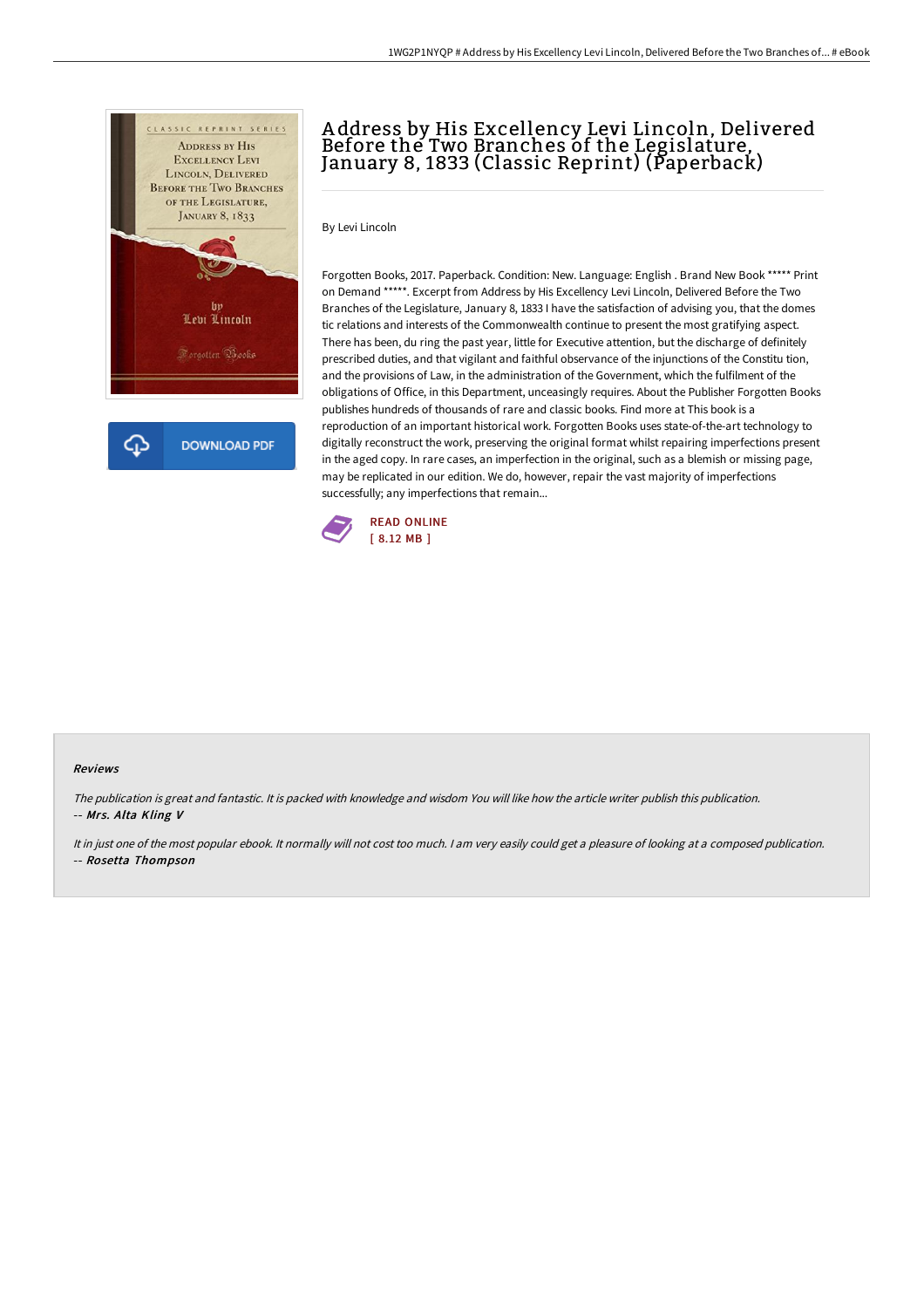

## A ddress by His Excellency Levi Lincoln, Delivered Before the Two Branches of the Legislature, January 8, 1833 (Classic Reprint) (Paperback)

By Levi Lincoln

Forgotten Books, 2017. Paperback. Condition: New. Language: English . Brand New Book \*\*\*\*\* Print on Demand \*\*\*\*\*. Excerpt from Address by His Excellency Levi Lincoln, Delivered Before the Two Branches of the Legislature, January 8, 1833 I have the satisfaction of advising you, that the domes tic relations and interests of the Commonwealth continue to present the most gratifying aspect. There has been, du ring the past year, little for Executive attention, but the discharge of definitely prescribed duties, and that vigilant and faithful observance of the injunctions of the Constitu tion, and the provisions of Law, in the administration of the Government, which the fulfilment of the obligations of Office, in this Department, unceasingly requires. About the Publisher Forgotten Books publishes hundreds of thousands of rare and classic books. Find more at This book is a reproduction of an important historical work. Forgotten Books uses state-of-the-art technology to digitally reconstruct the work, preserving the original format whilst repairing imperfections present in the aged copy. In rare cases, an imperfection in the original, such as a blemish or missing page, may be replicated in our edition. We do, however, repair the vast majority of imperfections successfully; any imperfections that remain...



## Reviews

The publication is great and fantastic. It is packed with knowledge and wisdom You will like how the article writer publish this publication. -- Mrs. Alta Kling V

It in just one of the most popular ebook. It normally will not cost too much. <sup>I</sup> am very easily could get <sup>a</sup> pleasure of looking at <sup>a</sup> composed publication. -- Rosetta Thompson